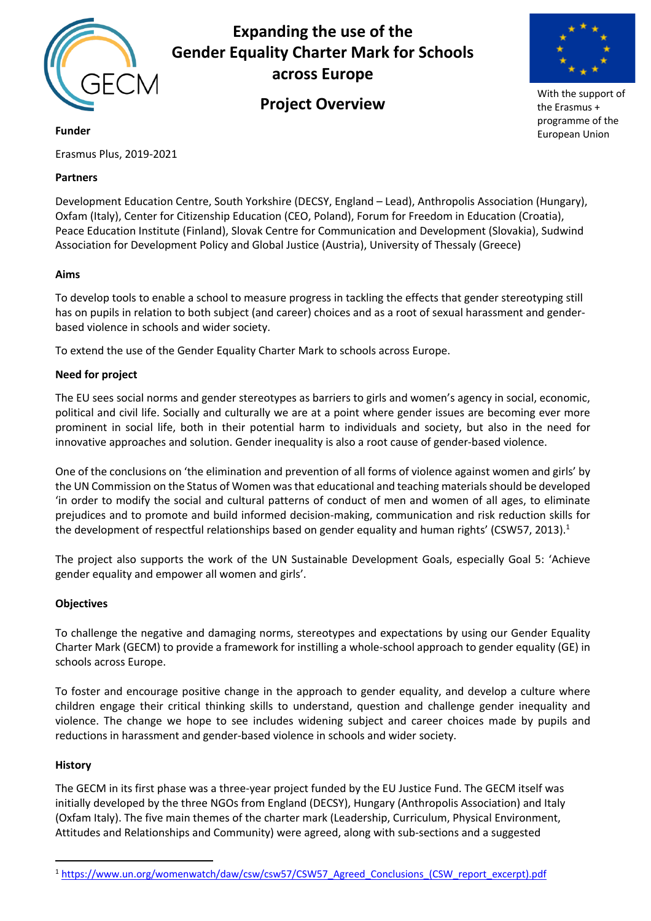

# **Expanding the use of the Gender Equality Charter Mark for Schools across Europe**

# **Project Overview**



With the support of the Erasmus + programme of the European Union

**Funder**

Erasmus Plus, 2019-2021

## **Partners**

Development Education Centre, South Yorkshire (DECSY, England – Lead), Anthropolis Association (Hungary), Oxfam (Italy), Center for Citizenship Education (CEO, Poland), Forum for Freedom in Education (Croatia), Peace Education Institute (Finland), Slovak Centre for Communication and Development (Slovakia), Sudwind Association for Development Policy and Global Justice (Austria), University of Thessaly (Greece)

## **Aims**

To develop tools to enable a school to measure progress in tackling the effects that gender stereotyping still has on pupils in relation to both subject (and career) choices and as a root of sexual harassment and genderbased violence in schools and wider society.

To extend the use of the Gender Equality Charter Mark to schools across Europe.

## **Need for project**

The EU sees social norms and gender stereotypes as barriers to girls and women's agency in social, economic, political and civil life. Socially and culturally we are at a point where gender issues are becoming ever more prominent in social life, both in their potential harm to individuals and society, but also in the need for innovative approaches and solution. Gender inequality is also a root cause of gender-based violence.

One of the conclusions on 'the elimination and prevention of all forms of violence against women and girls' by the UN Commission on the Status of Women was that educational and teaching materials should be developed 'in order to modify the social and cultural patterns of conduct of men and women of all ages, to eliminate prejudices and to promote and build informed decision-making, communication and risk reduction skills for the development of respectful relationships based on gender equality and human rights' (CSW57, 2013).<sup>1</sup>

The project also supports the work of the UN Sustainable Development Goals, especially Goal 5: 'Achieve gender equality and empower all women and girls'.

## **Objectives**

To challenge the negative and damaging norms, stereotypes and expectations by using our Gender Equality Charter Mark (GECM) to provide a framework for instilling a whole-school approach to gender equality (GE) in schools across Europe.

To foster and encourage positive change in the approach to gender equality, and develop a culture where children engage their critical thinking skills to understand, question and challenge gender inequality and violence. The change we hope to see includes widening subject and career choices made by pupils and reductions in harassment and gender-based violence in schools and wider society.

## **History**

The GECM in its first phase was a three-year project funded by the EU Justice Fund. The GECM itself was initially developed by the three NGOs from England (DECSY), Hungary (Anthropolis Association) and Italy (Oxfam Italy). The five main themes of the charter mark (Leadership, Curriculum, Physical Environment, Attitudes and Relationships and Community) were agreed, along with sub-sections and a suggested

 <sup>1</sup> https://www.un.org/womenwatch/daw/csw/csw57/CSW57\_Agreed\_Conclusions\_(CSW\_report\_excerpt).pdf